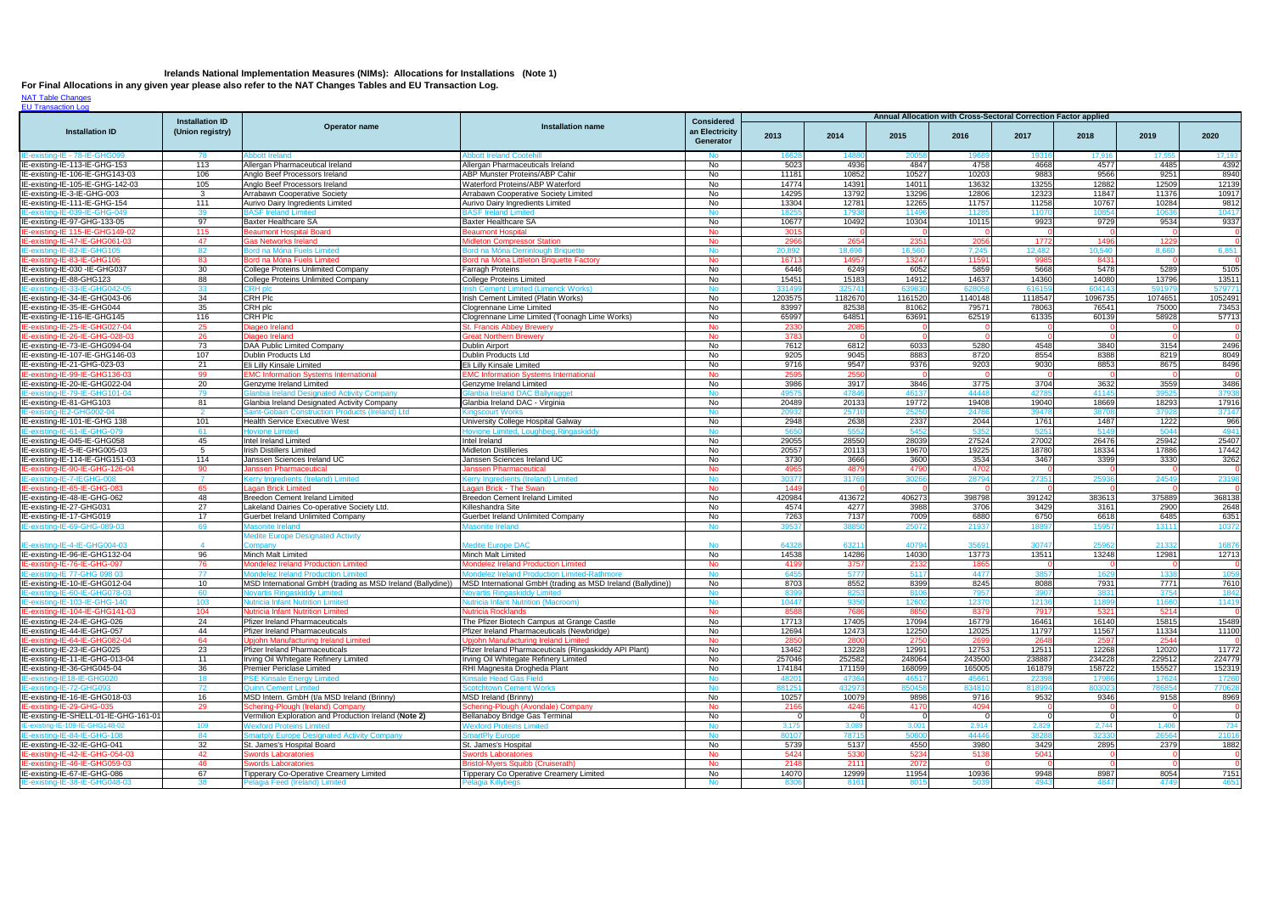## **Irelands National Implementation Measures (NIMs): Allocations for Installations (Note 1)**

[NAT Table Changes](http://www.epa.ie/climate/emissionstradingoverview/etscheme/phase iii/) **[EU Transaction Log](http://ec.europa.eu/environment/ets/allocationCompliance.do?languageCode=en®istryCode=IE&periodCode=2&search=Search)** 

**For Final Allocations in any given year please also refer to the NAT Changes Tables and EU Transaction Log.**

|                                                                    | <b>Installation ID</b><br>(Union registry) | Operator name                                                                              | <b>Installation name</b>                                                 | <b>Considered</b>           | Annual Allocation with Cross-Sectoral Correction Factor applied |                |                  |                   |                |                |                |                         |  |
|--------------------------------------------------------------------|--------------------------------------------|--------------------------------------------------------------------------------------------|--------------------------------------------------------------------------|-----------------------------|-----------------------------------------------------------------|----------------|------------------|-------------------|----------------|----------------|----------------|-------------------------|--|
| <b>Installation ID</b>                                             |                                            |                                                                                            |                                                                          | an Electricity<br>Generator | 2013                                                            | 2014           | 2015             | 2016              | 2017           | 2018           | 2019           | 2020                    |  |
| IE-existing-IE - 78-IE-GHG09                                       | 78                                         | bbott li                                                                                   | bbott Ireland Coote                                                      | No                          | 1662                                                            |                |                  |                   | 1931           | 17,916         | 17,55          | 17,193                  |  |
| IE-existing-IE-113-IE-GHG-153                                      | 113                                        | Allergan Pharmaceutical Ireland                                                            | Allergan Pharmaceuticals Ireland                                         | No                          | 5023                                                            | 4936           | 4847             | 4758              | 4668           | 4577           | 4485           | 4392                    |  |
| IE-existing-IE-106-IE-GHG143-03                                    | 106                                        | Anglo Beef Processors Ireland                                                              | ABP Munster Proteins/ABP Cahir                                           | No                          | 11181                                                           | 10852          | 10527            | 10203             | 9883           | 9566           | 9251           | 8940                    |  |
| IE-existing-IE-105-IE-GHG-142-03                                   | 105<br>3                                   | Anglo Beef Processors Ireland                                                              | Waterford Proteins/ABP Waterford                                         | No                          | 14774<br>14295                                                  | 14391          | 14011<br>13296   | 13632<br>12806    | 13255<br>12323 | 12882          | 12509<br>11376 | 12139<br>10917          |  |
| IE-existing-IE-3-IE-GHG-003<br>IE-existing-IE-111-IE-GHG-154       | 111                                        | <b>Arrabawn Cooperative Society</b><br>Aurivo Dairy Ingredients Limited                    | Arrabawn Cooperative Society Limited<br>Aurivo Dairy Ingredients Limited | No<br>No                    | 13304                                                           | 13792<br>12781 | 12265            | 11757             | 11258          | 11847<br>10767 | 10284          | 9812                    |  |
| IE-existing-IE-039-IE-GHG-049                                      | 39                                         | <b>BASF Ireland Limited</b>                                                                | <b>3ASF Ireland Limited</b>                                              | <b>No</b>                   | 18255                                                           | 1793           | 1149             | 1128              | 1107           | 1085           | 10636          | 10417                   |  |
| IE-existing-IE-97-GHG-133-05                                       | 97                                         | <b>Baxter Healthcare SA</b>                                                                | <b>Baxter Healthcare SA</b>                                              | No                          | 10677                                                           | 10492          | 10304            | 10115             | 9923           | 9729           | 9534           | 9337                    |  |
| IE-existing-IE 115-IE-GHG149-02                                    | 115                                        | Beaumont Hospital Board                                                                    | <b>Beaumont Hospita</b>                                                  | <b>No</b>                   | 3015                                                            |                |                  |                   |                |                |                |                         |  |
| IE-existing-IE-47-IE-GHG061-03                                     | 47                                         | <b>Gas Networks Ireland</b>                                                                | <b>Midleton Compressor Station</b>                                       | <b>No</b>                   | 2966                                                            | 2654           | 2351             | 2056              | 1772           | 149            | 1229           |                         |  |
| IE-existing-IE-82-IE-GHG105                                        | 82                                         | Bord na Móna Fuels Limited                                                                 | Bord na Móna Derrinlough Briguet                                         | <b>No</b>                   | 20,892                                                          | 18.69          | 16,560           | 7,245             | 12,48          | 10,540         | 8,660          | 6,851                   |  |
| IE-existing-IE-83-IE-GHG106                                        | 83                                         | Bord na Móna Fuels Limited                                                                 | Bord na Móna Littleton Briquette Factory                                 | <b>No</b>                   | 16713                                                           | 1495           | 13247            | 1159'             | 998            | 843'           |                |                         |  |
| IE-existing-IE-030 -IE-GHG037                                      | 30                                         | <b>College Proteins Unlimited Company</b>                                                  | Farragh Proteins                                                         | No                          | 6446                                                            | 6249           | 6052             | 5859              | 5668           | 5478           | 5289           | 5105                    |  |
| IE-existing-IE-88-GHG123                                           | 88<br>33                                   | College Proteins Unlimited Company<br>RH plc                                               | <b>College Proteins Limited</b><br>rish Cement Limited (Limerick Works)  | No<br><b>No</b>             | 15451<br>33149                                                  | 15183<br>32574 | 14912<br>6398    | 14637<br>62805    | 14360<br>6161  | 14080<br>60414 | 13796<br>59197 | 13511<br>579771         |  |
| IE-existing-IE-34-IE-GHG043-06                                     | 34                                         | <b>CRH Plc</b>                                                                             | Irish Cement Limited (Platin Works)                                      | No                          | 1203575                                                         | 1182670        | 1161520          | 1140148           | 1118547        | 1096735        | 1074651        | 1052491                 |  |
| IE-existing-IE-35-IE-GHG044                                        | 35                                         | CRH plc                                                                                    | Clogrennane Lime Limited                                                 | No                          | 83997                                                           | 82538          | 81062            | 79571             | 78063          | 76541          | 75000          | 73453                   |  |
| IE-existing-IE-116-IE-GHG145                                       | 116                                        | <b>CRH Plc</b>                                                                             | Clogrennane Lime Limited (Toonagh Lime Works)                            | No                          | 65997                                                           | 64851          | 63691            | 62519             | 61335          | 60139          | 58928          | 57713                   |  |
| IE-existing-IE-25-IE-GHG027-04                                     | 25                                         | Diageo Ireland                                                                             | St. Francis Abbey Brewery                                                | <b>No</b>                   | 2330                                                            | 208            |                  |                   |                |                |                |                         |  |
| IE-existing-IE-26-IE-GHG-028-03                                    | 26                                         | Diageo Ireland                                                                             | <b>Great Northern Brewery</b>                                            | <b>No</b>                   | 3783                                                            |                |                  |                   |                |                |                |                         |  |
| IE-existing-IE-73-IE-GHG094-04                                     | 73                                         | DAA Public Limited Company                                                                 | Dublin Airport                                                           | No                          | 7612                                                            | 6812           | 6033             | 5280              | 4548           | 3840           | 3154           | 2496                    |  |
| IE-existing-IE-107-IE-GHG146-03                                    | 107                                        | <b>Dublin Products Ltd</b>                                                                 | Dublin Products Ltd                                                      | No.                         | 9205                                                            | 9045           | 8883             | 8720              | 8554           | 8388           | 8219           | 8049                    |  |
| IE-existing-IE-21-GHG-023-03                                       | 21                                         | Eli Lilly Kinsale Limited                                                                  | Eli Lilly Kinsale Limited                                                | No                          | 9716                                                            | 9547           | 9376             | 9203              | 9030           | 8853           | 8675           | 8496                    |  |
| IE-existing-IE-99-IE-GHG136-03<br>IE-existing-IE-20-IE-GHG022-04   | 99<br>20                                   | <b>EMC Information Systems International</b><br>Genzyme Ireland Limited                    | <b>EMC Information Systems International</b><br>Genzyme Ireland Limited  | <b>No</b><br>No             | 2595<br>3986                                                    | 255<br>3917    | 3846             | 3775              | 3704           | 3632           | 3559           | 3486                    |  |
| IE-existing-IE-79-IE-GHG101-04                                     | 79                                         | <b>Ilanbia Ireland Designated Activity Company</b>                                         | lanbia Ireland DAC Ballyragget                                           | <b>No</b>                   | 4957!                                                           | 4784           | 46137            | 44448             | 4278           | 4114           | 39525          | 37938                   |  |
| IE-existing-IE-81-GHG103                                           | 81                                         | Glanbia Ireland Designated Activity Company                                                | Glanbia Ireland DAC - Virginia                                           | No                          | 20489                                                           | 20133          | 19772            | 19408             | 19040          | 18669          | 18293          | 17916                   |  |
| IE-existing-IE2-GHG002-04                                          |                                            | aint-Gobain Construction Products (Ireland) Ltd                                            | inascourt Works                                                          | <b>No</b>                   | 20932                                                           | 2571           | 2525             | 2478              | 3947           | 3870           | 37928          | 37147                   |  |
| IE-existing-IE-101-IE-GHG 138                                      | 101                                        | Health Service Executive West                                                              | University College Hospital Galway                                       | No                          | 2948                                                            | 2638           | 2337             | 2044              | 1761           | 1487           | 1222           | 966                     |  |
| IE-existing-IE-61-IE-GHG-07                                        | 61                                         | <del>l</del> ovione Limite                                                                 | lovione Limited, Loughbeg,Ringaskiddy                                    | <b>No</b>                   | 565                                                             | 555            | 545              | 5352              | 525            | 514            | 5044           | 4941                    |  |
| IE-existing-IE-045-IE-GHG058                                       | 45                                         | Intel Ireland Limited                                                                      | Intel Ireland                                                            | No                          | 29055                                                           | 28550          | 28039            | 27524             | 27002          | 26476          | 25942          | 25407                   |  |
| IE-existing-IE-5-IE-GHG005-03                                      | $5^{\circ}$                                | Irish Distillers Limited                                                                   | <b>Midleton Distilleries</b>                                             | No                          | 20557                                                           | 20113          | 19670            | 19225             | 18780          | 18334          | 17886          | 17442                   |  |
| IE-existing-IE-114-IE-GHG151-03                                    | 114<br>90                                  | Janssen Sciences Ireland UC                                                                | Janssen Sciences Ireland UC                                              | No<br><b>No</b>             | 3730<br>4965                                                    | 3666<br>487    | 3600<br>479      | 3534<br>4702      | 3467           | 3399           | 3330           | 3262                    |  |
| IE-existing-IE-90-IE-GHG-126-04<br>IE-existing-IE-7-IEGHG-008      |                                            | lanssen Pharmaceutica<br>(erry Ingredients (Ireland) Limited                               | <b>Janssen Pharmaceutica</b><br>Kerry Ingredients (Ireland) Limited      | No                          | 30377                                                           | 3176           | 3026             | 2879              | 2735           | 2593           | 24549          | 23198                   |  |
| IE-existing-IE-65-IE-GHG-083                                       | 65                                         | Lagan Brick Limited                                                                        | Lagan Brick - The Swan                                                   | No.                         | 1449                                                            |                |                  |                   |                |                |                |                         |  |
| IE-existing-IE-48-IE-GHG-062                                       | 48                                         | <b>Breedon Cement Ireland Limited</b>                                                      | <b>Breedon Cement Ireland Limited</b>                                    | No                          | 420984                                                          | 413672         | 406273           | 398798            | 391242         | 383613         | 375889         | 368138                  |  |
| IE-existing-IE-27-GHG031                                           | 27                                         | Lakeland Dairies Co-operative Society Ltd.                                                 | Killeshandra Site                                                        | No                          | 4574                                                            | 4277           | 3988             | 3706              | 3429           | 3161           | 2900           | 2648                    |  |
| IE-existing-IE-17-GHG019                                           | 17                                         | Guerbet Ireland Unlimited Company                                                          | Guerbet Ireland Unlimited Company                                        | No                          | 7263                                                            | 7137           | 7009             | 6880              | 6750           | 6618           | 6485           | 6351                    |  |
| IE-existing-IE-69-GHG-089-03                                       | 69                                         | Aasonite Ireland                                                                           | lasonite Ireland                                                         | <b>No</b>                   | 39537                                                           |                | 2507             | 21937             | 1889           | 1595           | 13111          | 10372                   |  |
| IE-existing-IE-4-IE-GHG004-03                                      | $\overline{4}$                             | <b>Medite Europe Designated Activity</b><br>:ompar                                         | <b>Medite Europe DAC</b>                                                 | <b>No</b>                   | 64328                                                           | 6321'          | 4079             | 3569'             | 3074           | 25962          | 21332          | 16876                   |  |
| IE-existing-IE-96-IE-GHG132-04                                     | 96                                         | Minch Malt Limited                                                                         | <b>Minch Malt Limited</b>                                                | No                          | 14538                                                           | 14286          | 14030            | 13773             | 13511          | 13248          | 12981          | 12713                   |  |
| IE-existing-IE-76-IE-GHG-097                                       | 76                                         | Mondelez Ireland Production Limited                                                        | Mondelez Ireland Production Limited                                      | <b>No</b>                   | 4199                                                            | 3757           | -2132            | 1865              |                |                |                |                         |  |
| IE-existing-IE 77-GHG 098 03                                       | 77                                         | Iondelez Ireland Production Limit                                                          | Aondelez Ireland Production Limited-Rathmore                             | No.                         | 6455                                                            | 5777           | -5117            | 4477              |                | 162            | 1338           | 1059                    |  |
| IE-existing-IE-10-IE-GHG012-04                                     | 10                                         | MSD International GmbH (trading as MSD Ireland (Ballydine))                                | MSD International GmbH (trading as MSD Ireland (Ballydine))              | No                          | 8703                                                            | 8552           | 8399             | 8245              | 8088           | 7931           | 7771           | 7610                    |  |
| IE-existing-IE-60-IE-GHG078-03<br>IE-existing-IE-103-IE-GHG-140    | -60                                        | Novartis Ringaskiddy Limited                                                               | Novartis Ringaskiddy Limited                                             | No                          | 8399                                                            | -8253          | -8106            | 7957              | -390           | -383           | 3754           |                         |  |
| IE-existing-IE-104-IE-GHG141-03                                    | 103                                        | Jutricia Infant Nutrition Limited<br><b>Nutricia Infant Nutrition Limited</b>              | Nutricia Infant Nutrition (Macroom)<br><b>Nutricia Rocklands</b>         | No.                         | 10447                                                           | 9350           | 12602            | 12370             | 1213           | 1189           | 11660<br>5214  | 11419                   |  |
| IE-existing-IE-24-IE-GHG-026                                       | 104<br>24                                  | <b>Pfizer Ireland Pharmaceuticals</b>                                                      | The Pfizer Biotech Campus at Grange Castle                               | <b>No</b><br>No             | 8588<br>17713                                                   | 7686<br>17405  | 885<br>17094     | 837<br>16779      | 7917<br>16461  | 5321<br>16140  | 15815          | 15489                   |  |
| IE-existing-IE-44-IE-GHG-057                                       | 44                                         | <b>Pfizer Ireland Pharmaceuticals</b>                                                      | Pfizer Ireland Pharmaceuticals (Newbridge)                               | No                          | 12694                                                           | 12473          | 12250            | 12025             | 11797          | 11567          | 11334          | 11100                   |  |
| IE-existing-IE-64-IE-GHG082-04                                     | 64                                         | Jpiohn Manufacturing Ireland Limited                                                       | <b>Jpjohn Manufacturing Ireland Limited</b>                              | No                          | 2850                                                            | 280            | 2750             | 269               | 2648           | 2597           | 2544           |                         |  |
| IE-existing-IE-23-IE-GHG025                                        | 23                                         | <b>Pfizer Ireland Pharmaceuticals</b>                                                      | Pfizer Ireland Pharmaceuticals (Ringaskiddy API Plant)                   | No                          | 13462                                                           | 13228          | 12991            | 12753             | 12511          | 12268          | 12020          | 11772                   |  |
| IE-existing-IE-11-IE-GHG-013-04                                    | 11                                         | Irving Oil Whitegate Refinery Limited                                                      | Irving Oil Whitegate Refinery Limited                                    | No                          | 257046                                                          | 252582         | 248064           | 243500            | 238887         | 234228         | 229512         | 224779                  |  |
| IE-existing-IE-36-GHG045-04                                        | 36                                         | <b>Premier Periclase Limited</b>                                                           | RHI Magnesita Drogheda Plant                                             | No                          | 174184                                                          | 171159         | 168099           | 165005            | 161879         | 158722         | 155527         | 152319                  |  |
| IE-existing-IE18-IE-GHG020                                         | 18                                         | 'SE Kinsale Energy Limited                                                                 | <b>Kinsale Head Gas Field</b>                                            | <b>No</b>                   | 48201                                                           | 4736           | 4651             | 4566 <sup>-</sup> | 2239           | 1798           | 17624          | 17260                   |  |
| IE-existing-IE-72-GHG093                                           | 72                                         | Quinn Cement Limited                                                                       | <b>Scotchtown Cement Works</b>                                           | <b>No</b>                   | 881251                                                          | 43297          | 85045            | 83481             | 81899          | 80302          | 786854         | 770628                  |  |
| IE-existing-IE-16-IE-GHG018-03                                     | 16                                         | MSD Intern. GmbH (t/a MSD Ireland (Brinny)                                                 | <b>MSD Ireland (Brinny)</b>                                              | No                          | 10257                                                           | 10079          | 9898             | 9716              | 9532           | 9346           | 9158           | 8969                    |  |
| IE-existing-IE-29-GHG-035<br>IE-existing-IE-SHELL-01-IE-GHG-161-01 | 29                                         | Schering-Plough (Ireland) Company<br>Vermilion Exploration and Production Ireland (Note 2) | Schering-Plough (Avondale) Company<br>Bellanabov Bridge Gas Terminal     | <b>No</b><br><b>No</b>      | 2166<br>$\Omega$                                                | 4246           | 4170<br>$\Omega$ | 4094<br>$\Omega$  |                |                | - 0            | $\overline{\mathbf{0}}$ |  |
| IE-existing-IE-109-IE-GHG148-02                                    | 109                                        | <b>Vexford Proteins Limited</b>                                                            | <b>Wexford Proteins Limited</b>                                          | <b>No</b>                   | 3,175                                                           | 3,08           | 3,001            | 2,914             | 2,829          | 2,744          | 1,406          | 734                     |  |
| IE-existing-IE-84-IE-GHG-108                                       | 84                                         | <b>Smartply Europe Designated Activity Company</b>                                         | <b>SmartPly Europe</b>                                                   | No                          | 80107                                                           | 78715          | 5080             | 4444              | 382            | 3233           | 26564          | 21016                   |  |
| IE-existing-IE-32-IE-GHG-041                                       | 32                                         | St. James's Hospital Board                                                                 | St. James's Hospital                                                     | No                          | 5739                                                            | 5137           | 4550             | 3980              | 3429           | 2895           | 2379           | 1882                    |  |
| IE-existing-IE-42-IE-GHG-054-03                                    | 42                                         | <b>Swords Laboratories</b>                                                                 | <b>Swords Laboratories</b>                                               | <b>No</b>                   | 5424                                                            | 5330           | 5234             | 5138              | 5041           |                |                |                         |  |
| IE-existing-IE-46-IE-GHG059-03                                     | 46                                         | <b>Swords Laboratories</b>                                                                 | <b>Bristol-Myers Squibb (Cruiserath)</b>                                 | <b>No</b>                   | 2148                                                            | 2111           | 2072             |                   |                |                |                |                         |  |
| IE-existing-IE-67-IE-GHG-086                                       | 67                                         | <b>Tipperary Co-Operative Creamery Limited</b>                                             | Tipperary Co Operative Creamery Limited                                  | No                          | 14070                                                           | 12999          | 11954            | 10936             | 9948           | 8987           | 8054           | 7151                    |  |
| IE-existing-IE-38-IE-GHG048-03                                     | 38                                         | Pelagia Feed (Ireland) Limited                                                             | Pelagia Killybegs                                                        | No.                         | 8306                                                            | 8161           | 8015             | 5039              | 494            | 4847           | 4749           | 4651                    |  |